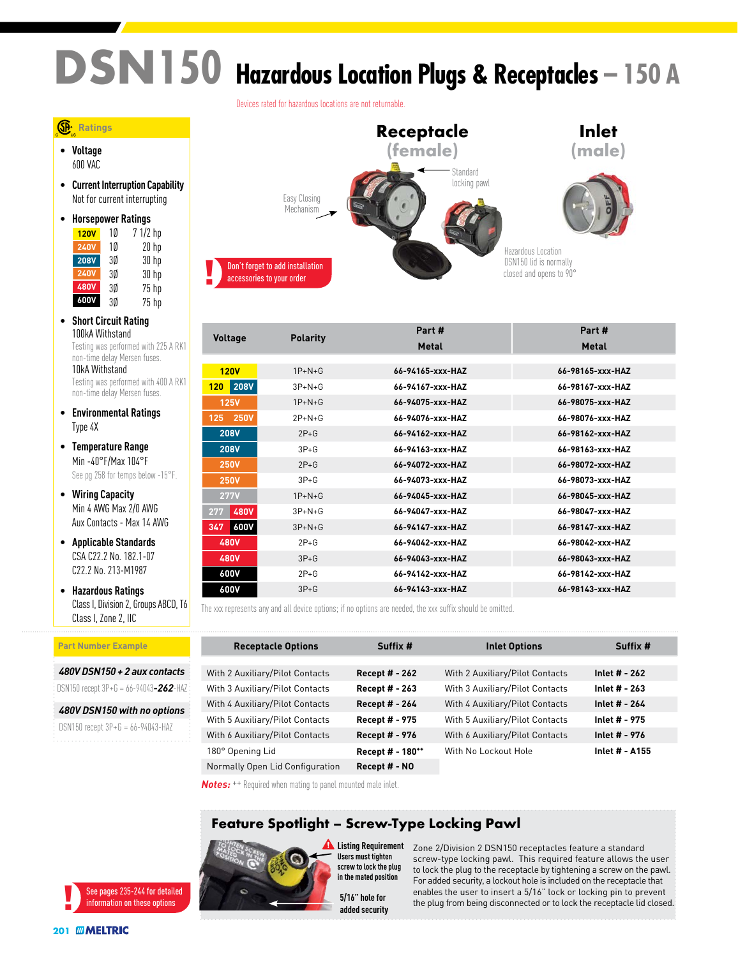# **DSN150 Hazardous Location Plugs & Receptacles – 150 A**



|                                 |                 | Part #           | Part #           |
|---------------------------------|-----------------|------------------|------------------|
| <b>Voltage</b>                  | <b>Polarity</b> | <b>Metal</b>     | <b>Metal</b>     |
|                                 |                 |                  |                  |
| <b>120V</b>                     | $1P+N+G$        | 66-94165-xxx-HAZ | 66-98165-xxx-HAZ |
| <b>208V</b><br>120 <sub>1</sub> | $3P+N+G$        | 66-94167-xxx-HAZ | 66-98167-xxx-HAZ |
| <b>125V</b>                     | $1P+N+G$        | 66-94075-xxx-HAZ | 66-98075-xxx-HAZ |
| <b>250V</b><br>125              | $2P+N+G$        | 66-94076-xxx-HAZ | 66-98076-xxx-HAZ |
| <b>208V</b>                     | $2P+G$          | 66-94162-xxx-HAZ | 66-98162-xxx-HAZ |
| <b>208V</b>                     | $3P+G$          | 66-94163-xxx-HAZ | 66-98163-xxx-HAZ |
| <b>250V</b>                     | $2P+G$          | 66-94072-xxx-HAZ | 66-98072-xxx-HAZ |
| <b>250V</b>                     | $3P + G$        | 66-94073-xxx-HAZ | 66-98073-xxx-HAZ |
| <b>277V</b>                     | $1P+N+G$        | 66-94045-xxx-HAZ | 66-98045-xxx-HAZ |
| <b>480V</b><br>277              | $3P+N+G$        | 66-94047-xxx-HAZ | 66-98047-xxx-HAZ |
| <b>600V</b><br>347              | $3P+N+G$        | 66-94147-xxx-HAZ | 66-98147-xxx-HAZ |
| 480V                            | $2P+G$          | 66-94042-xxx-HAZ | 66-98042-xxx-HAZ |
| 480V                            | $3P+G$          | 66-94043-xxx-HAZ | 66-98043-xxx-HAZ |
| 600V                            | $2P+G$          | 66-94142-xxx-HAZ | 66-98142-xxx-HAZ |
| 600V                            | $3P + G$        | 66-94143-xxx-HAZ | 66-98143-xxx-HAZ |

The xxx represents any and all device options; if no options are needed, the xxx suffix should be omitted.

| <b>Receptacle Options</b>       | Suffix #              | <b>Inlet Options</b>            | Suffix #       |
|---------------------------------|-----------------------|---------------------------------|----------------|
| With 2 Auxiliary/Pilot Contacts | <b>Recept # - 262</b> | With 2 Auxiliary/Pilot Contacts | Inlet # - 262  |
| With 3 Auxiliary/Pilot Contacts | <b>Recept # - 263</b> | With 3 Auxiliary/Pilot Contacts | Inlet # - 263  |
| With 4 Auxiliary/Pilot Contacts | <b>Recept # - 264</b> | With 4 Auxiliary/Pilot Contacts | Inlet # - 264  |
| With 5 Auxiliary/Pilot Contacts | Recept # - 975        | With 5 Auxiliary/Pilot Contacts | Inlet # - 975  |
| With 6 Auxiliary/Pilot Contacts | Recept # - 976        | With 6 Auxiliary/Pilot Contacts | Inlet # - 976  |
| 180° Opening Lid                | Recept # - 180**      | With No Lockout Hole            | Inlet # - A155 |
| Normally Open Lid Configuration | Recept # - NO         |                                 |                |

Zone 2/Division 2 DSN150 receptacles feature a standard screw-type locking pawl. This required feature allows the user to lock the plug to the receptacle by tightening a screw on the pawl. For added security, a lockout hole is included on the receptacle that enables the user to insert a 5/16" lock or locking pin to prevent the plug from being disconnected or to lock the receptacle lid closed.

*Notes:* ++ Required when mating to panel mounted male inlet.

### **Feature Spotlight – Screw-Type Locking Pawl**



**Listing Requirement Users must tighten screw to lock the plug in the mated position**

> added security 5/16" hole for

See pages 235-244 for detailed information on these options

 **Ratings**

• **Voltage** 600 VAC

• **Current Interruption Capability** Not for current interrupting

> 1Ø 7 1/2 hp 1Ø 20 hp 3Ø 30 hp 3Ø 30 hp 3Ø 75 hp  $75$  hp

Testing was performed with 225 A RK1 non-time delay Mersen fuses. 10kA Withstand

Testing was performed with 400 A RK1 non-time delay Mersen fuses. • **Environmental Ratings**

Class I, Division 2, Groups ABCD, T6

*480V DSN150 + 2 aux contacts* DSN150 recept 3P+G = 66-94043*-262*-HAZ *480V DSN150 with no options* DSN150 recept 3P+G = 66-94043-HAZ

Class I, Zone 2, IIC

**Part Number Example**

• **Horsepower Ratings**

**120V 240V 208V 240V 480V 600V**

• **Short Circuit Rating** 100kA Withstand

Type 4X

• **Temperature Range** Min -40°F/Max 104°F See pg 258 for temps below -15°F.

• **Wiring Capacity** Min 4 AWG Max 2/0 AWG Aux Contacts - Max 14 AWG • **Applicable Standards** CSA C22.2 No. 182.1-07 C22.2 No. 213-M1987 • **Hazardous Ratings**

Devices rated for hazardous locations are not returnable.